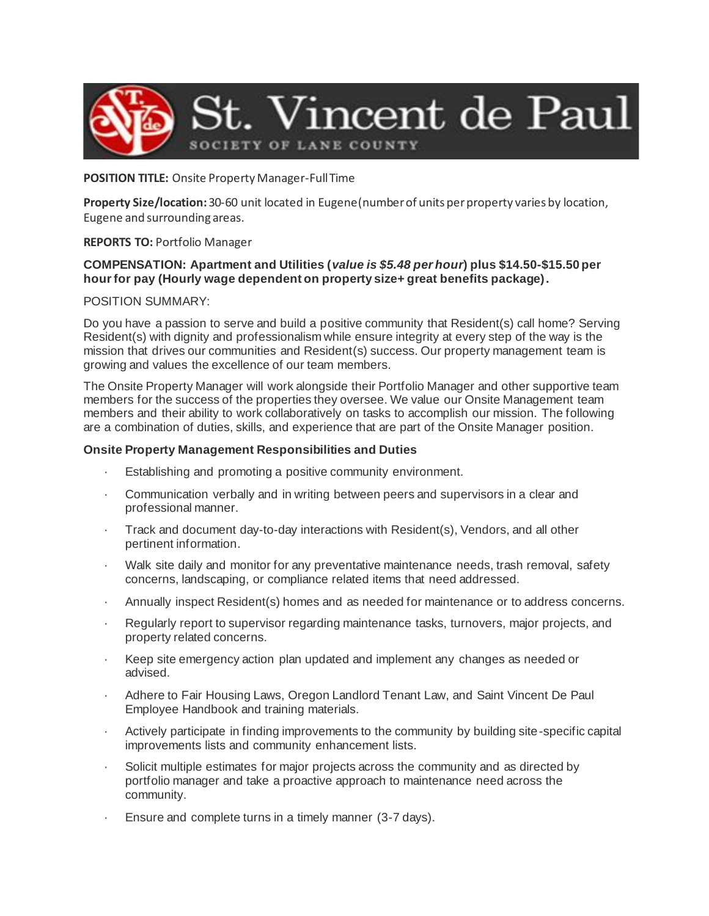

### **POSITION TITLE:** Onsite Property Manager-Full Time

**Property Size/location:** 30-60 unit located in Eugene(number of units per property varies by location, Eugene and surrounding areas.

# **REPORTS TO:** Portfolio Manager

## **COMPENSATION: Apartment and Utilities (***value is \$5.48 per hour***) plus \$14.50-\$15.50 per hour for pay (Hourly wage dependent on property size+ great benefits package).**

### POSITION SUMMARY:

Do you have a passion to serve and build a positive community that Resident(s) call home? Serving Resident(s) with dignity and professionalism while ensure integrity at every step of the way is the mission that drives our communities and Resident(s) success. Our property management team is growing and values the excellence of our team members.

The Onsite Property Manager will work alongside their Portfolio Manager and other supportive team members for the success of the properties they oversee. We value our Onsite Management team members and their ability to work collaboratively on tasks to accomplish our mission. The following are a combination of duties, skills, and experience that are part of the Onsite Manager position.

### **Onsite Property Management Responsibilities and Duties**

- Establishing and promoting a positive community environment.
- · Communication verbally and in writing between peers and supervisors in a clear and professional manner.
- · Track and document day-to-day interactions with Resident(s), Vendors, and all other pertinent information.
- Walk site daily and monitor for any preventative maintenance needs, trash removal, safety concerns, landscaping, or compliance related items that need addressed.
- · Annually inspect Resident(s) homes and as needed for maintenance or to address concerns.
- Regularly report to supervisor regarding maintenance tasks, turnovers, major projects, and property related concerns.
- · Keep site emergency action plan updated and implement any changes as needed or advised.
- Adhere to Fair Housing Laws, Oregon Landlord Tenant Law, and Saint Vincent De Paul Employee Handbook and training materials.
- Actively participate in finding improvements to the community by building site-specific capital improvements lists and community enhancement lists.
- Solicit multiple estimates for major projects across the community and as directed by portfolio manager and take a proactive approach to maintenance need across the community.
- Ensure and complete turns in a timely manner (3-7 days).